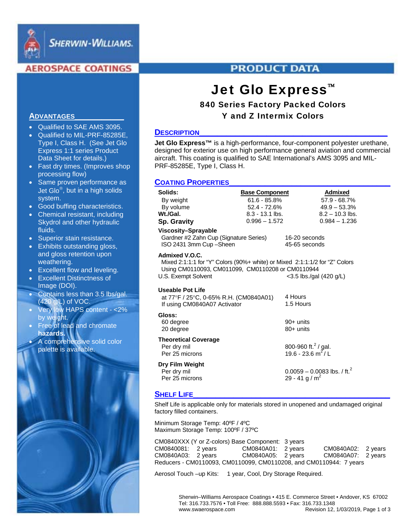

# **AEROSPACE COATINGS**

# **PRODUCT DATA**

# Jet Glo Express<sup>™</sup>

# 840 Series Factory Packed Colors Y and Z Intermix Colors

#### **DESCRIPTION**

**Jet Glo Express™** is a high-performance, four-component polyester urethane, designed for exterior use on high performance general aviation and commercial aircraft. This coating is qualified to SAE International's AMS 3095 and MIL-PRF-85285E, Type I, Class H.

## **COATING PROPERTIES**

| Solids:                                                                                                                                                                                                 | <b>Base Component</b> |                                                  | <b>Admixed</b>                            |  |
|---------------------------------------------------------------------------------------------------------------------------------------------------------------------------------------------------------|-----------------------|--------------------------------------------------|-------------------------------------------|--|
| By weight                                                                                                                                                                                               | $61.6 - 85.8\%$       |                                                  | $57.9 - 68.7\%$                           |  |
| By volume                                                                                                                                                                                               | 52.4 - 72.6%          |                                                  | $49.9 - 53.3%$                            |  |
| Wt./Gal.                                                                                                                                                                                                | $8.3 - 13.1$ lbs.     |                                                  | $8.2 - 10.3$ lbs.                         |  |
| Sp. Gravity                                                                                                                                                                                             | $0.996 - 1.572$       |                                                  | $0.984 - 1.236$                           |  |
| Viscosity-Sprayable<br>Gardner #2 Zahn Cup (Signature Series)<br>ISO 2431 3mm Cup - Sheen                                                                                                               |                       | 16-20 seconds<br>45-65 seconds                   |                                           |  |
| Admixed V.O.C.<br>Mixed 2:1:1:1 for "Y" Colors (90%+ white) or Mixed 2:1:1:1/2 for "Z" Colors<br>Using CM0110093, CM011099, CM0110208 or CM0110944<br>U.S. Exempt Solvent<br>$<$ 3.5 lbs./gal (420 g/L) |                       |                                                  |                                           |  |
| <b>Useable Pot Life</b><br>at 77°F / 25°C, 0-65% R.H. (CM0840A01)<br>If using CM0840A07 Activator                                                                                                       |                       | 4 Hours<br>1.5 Hours                             |                                           |  |
| Gloss:<br>60 degree<br>20 degree                                                                                                                                                                        |                       | 90+ units<br>$80+$ units                         |                                           |  |
| <b>Theoretical Coverage</b><br>Per dry mil<br>Per 25 microns                                                                                                                                            |                       | 800-960 ft. $^{2}$ / gal.<br>19.6 - 23.6 $m^2/L$ |                                           |  |
| Dry Film Weight<br>Per dry mil<br>Per 25 microns                                                                                                                                                        |                       | 29 - 41 g / m <sup>2</sup>                       | $0.0059 - 0.0083$ lbs. / ft. <sup>2</sup> |  |

## **SHELF LIFE**

Shelf Life is applicable only for materials stored in unopened and undamaged original factory filled containers.

Minimum Storage Temp: 40ºF / 4ºC Maximum Storage Temp: 100ºF / 37ºC

CM0840XXX (Y or Z-colors) Base Component: 3 years CM0840081: 2 years CM0840A01: 2 years CM0840A02: 2 years CM0840A03: 2 years CM0840A05: 2 years CM0840A07: 2 years Reducers - CM0110093, CM0110099, CM0110208, and CM0110944: 7 years

Aerosol Touch –up Kits: 1 year, Cool, Dry Storage Required.

 Sherwin–Williams Aerospace Coatings • 415 E. Commerce Street • Andover, KS 67002 Tel: 316.733.7576 • Toll Free: 888.888.5593 • Fax: 316.733.1348 www.swaerospace.com Revision 12, 1/03/2019, Page 1 of 3

## **ADVANTAGES\_\_\_\_\_\_\_\_\_\_\_**

- Qualified to SAE AMS 3095.
- Qualified to MIL-PRF-85285E, Type I, Class H. (See Jet Glo Express 1:1 series Product Data Sheet for details.)
- Fast dry times. (Improves shop processing flow)
- Same proven performance as Jet Glo $\mathcal{O}$ , but in a high solids system.
- Good buffing characteristics.
- Chemical resistant, including Skydrol and other hydraulic fluids.
- Superior stain resistance.
- Exhibits outstanding gloss, and gloss retention upon weathering.
- Excellent flow and leveling.
- Excellent Distinctness of Image (DOI).
- Contains less than 3.5 lbs/gal. (420 g/L) of VOC.
- Very low HAPS content <2% by weight.
- Free of lead and chromate **hazards.**
- A comprehensive solid color palette is available.

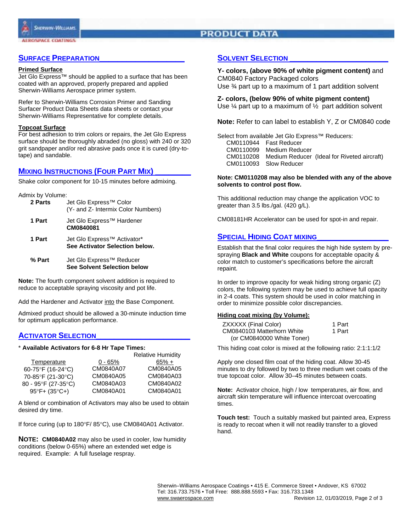# **PRODUCT DATA**

## **SURFACE PREPARATION**

#### **Primed Surface**

Jet Glo Express™ should be applied to a surface that has been coated with an approved, properly prepared and applied Sherwin-Williams Aerospace primer system.

Refer to Sherwin-Williams Corrosion Primer and Sanding Surfacer Product Data Sheets data sheets or contact your Sherwin-Williams Representative for complete details.

#### **Topcoat Surface**

For best adhesion to trim colors or repairs, the Jet Glo Express surface should be thoroughly abraded (no gloss) with 240 or 320 grit sandpaper and/or red abrasive pads once it is cured (dry-totape) and sandable.

## **MIXING INSTRUCTIONS (FOUR PART MIX)**

Shake color component for 10-15 minutes before admixing.

Admix by Volume:

| 2 Parts | Jet Glo Express <sup>™</sup> Color<br>(Y- and Z- Intermix Color Numbers)  |
|---------|---------------------------------------------------------------------------|
| 1 Part  | Jet Glo Express <sup>™</sup> Hardener<br>CM0840081                        |
| 1 Part  | Jet Glo Express <sup>™</sup> Activator*<br>See Activator Selection below. |
| % Part  | Jet Glo Express <sup>™</sup> Reducer<br>See Solvent Selection below       |

**Note:** The fourth component solvent addition is required to reduce to acceptable spraying viscosity and pot life.

Add the Hardener and Activator into the Base Component.

Admixed product should be allowed a 30-minute induction time for optimum application performance.

## **ACTIVATOR SELECTION**

#### \* **Available Activators for 6-8 Hr Tape Times:**

|                                 |           | <b>Relative Humidity</b> |
|---------------------------------|-----------|--------------------------|
| Temperature                     | $0 - 65%$ | $65\% +$                 |
| 60-75°F (16-24°C)               | CM0840A07 | CM0840A05                |
| 70-85°F (21-30°C)               | CM0840A05 | CM0840A03                |
| 80 - 95°F (27-35°C)             | CM0840A03 | CM0840A02                |
| $95^{\circ}F + (35^{\circ}C +)$ | CM0840A01 | CM0840A01                |

A blend or combination of Activators may also be used to obtain desired dry time.

If force curing (up to 180°F/85°C), use CM0840A01 Activator.

**NOTE: CM0840A02** may also be used in cooler, low humidity conditions (below 0-65%) where an extended wet edge is required. Example: A full fuselage respray.

## **SOLVENT SELECTION**

**Y- colors, (above 90% of white pigment content)** and CM0840 Factory Packaged colors Use ¾ part up to a maximum of 1 part addition solvent

**Z- colors, (below 90% of white pigment content)** Use  $\frac{1}{4}$  part up to a maximum of  $\frac{1}{2}$  part addition solvent

**Note:** Refer to can label to establish Y, Z or CM0840 code

Select from available Jet Glo Express™ Reducers: CM0110944 Fast Reducer CM0110099 Medium Reducer CM0110208 Medium Reducer (Ideal for Riveted aircraft) CM0110093 Slow Reducer

#### **Note: CM0110208 may also be blended with any of the above solvents to control post flow.**

This additional reduction may change the application VOC to greater than 3.5 lbs./gal. (420 g/L).

CM08181HR Accelerator can be used for spot-in and repair.

## **SPECIAL HIDING COAT MIXING**

Establish that the final color requires the high hide system by prespraying **Black and White** coupons for acceptable opacity & color match to customer's specifications before the aircraft repaint.

In order to improve opacity for weak hiding strong organic (Z) colors, the following system may be used to achieve full opacity in 2-4 coats. This system should be used in color matching in order to minimize possible color discrepancies.

#### **Hiding coat mixing (by Volume):**

| ZXXXXX (Final Color)       | 1 Part |
|----------------------------|--------|
| CM0840103 Matterhorn White | 1 Part |
| (or CM0840000 White Toner) |        |

This hiding coat color is mixed at the following ratio: 2:1:1:1/2

Apply one closed film coat of the hiding coat. Allow 30-45 minutes to dry followed by two to three medium wet coats of the true topcoat color. Allow 30–45 minutes between coats.

**Note:** Activator choice, high / low temperatures, air flow, and aircraft skin temperature will influence intercoat overcoating times.

**Touch test:** Touch a suitably masked but painted area, Express is ready to recoat when it will not readily transfer to a gloved hand.